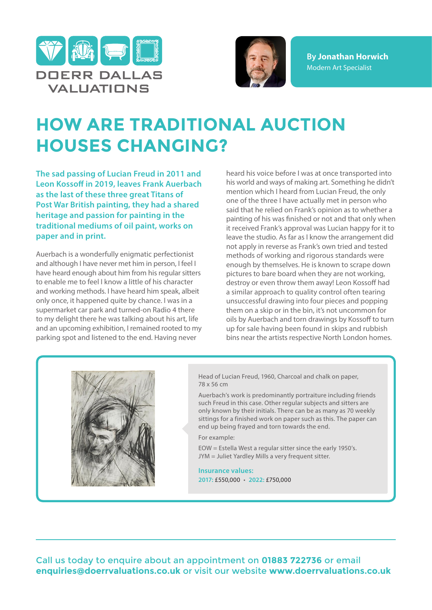



**By Jonathan Horwich** Modern Art Specialist

## **HOW ARE TRADITIONAL AUCTION HOUSES CHANGING?**

**The sad passing of Lucian Freud in 2011 and Leon Kossoff in 2019, leaves Frank Auerbach as the last of these three great Titans of Post War British painting, they had a shared heritage and passion for painting in the traditional mediums of oil paint, works on paper and in print.**

Auerbach is a wonderfully enigmatic perfectionist and although I have never met him in person, I feel I have heard enough about him from his regular sitters to enable me to feel I know a little of his character and working methods. I have heard him speak, albeit only once, it happened quite by chance. I was in a supermarket car park and turned-on Radio 4 there to my delight there he was talking about his art, life and an upcoming exhibition, I remained rooted to my parking spot and listened to the end. Having never

heard his voice before I was at once transported into his world and ways of making art. Something he didn't mention which I heard from Lucian Freud, the only one of the three I have actually met in person who said that he relied on Frank's opinion as to whether a painting of his was finished or not and that only when it received Frank's approval was Lucian happy for it to leave the studio. As far as I know the arrangement did not apply in reverse as Frank's own tried and tested methods of working and rigorous standards were enough by themselves. He is known to scrape down pictures to bare board when they are not working, destroy or even throw them away! Leon Kossoff had a similar approach to quality control often tearing unsuccessful drawing into four pieces and popping them on a skip or in the bin, it's not uncommon for oils by Auerbach and torn drawings by Kossoff to turn up for sale having been found in skips and rubbish bins near the artists respective North London homes.



Head of Lucian Freud, 1960, Charcoal and chalk on paper, 78 x 56 cm

Auerbach's work is predominantly portraiture including friends such Freud in this case. Other regular subjects and sitters are only known by their initials. There can be as many as 70 weekly sittings for a finished work on paper such as this. The paper can end up being frayed and torn towards the end.

For example:

EOW = Estella West a regular sitter since the early 1950's. JYM = Juliet Yardley Mills a very frequent sitter.

**Insurance values: 2017:** £550,000 • **2022:** £750,000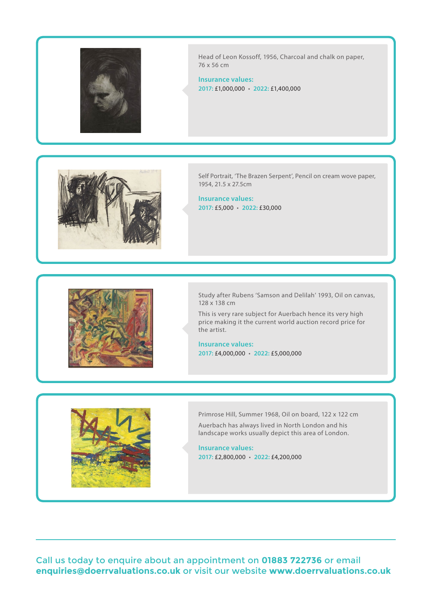

Head of Leon Kossoff, 1956, Charcoal and chalk on paper, 76 x 56 cm

**Insurance values: 2017:** £1,000,000 • **2022:** £1,400,000



Self Portrait, 'The Brazen Serpent', Pencil on cream wove paper, 1954, 21.5 x 27.5cm

**Insurance values: 2017:** £5,000 • **2022:** £30,000



Study after Rubens 'Samson and Delilah' 1993, Oil on canvas, 128 x 138 cm

This is very rare subject for Auerbach hence its very high price making it the current world auction record price for the artist.

**Insurance values: 2017:** £4,000,000 • **2022:** £5,000,000



Primrose Hill, Summer 1968, Oil on board, 122 x 122 cm Auerbach has always lived in North London and his landscape works usually depict this area of London.

**Insurance values: 2017:** £2,800,000 • **2022:** £4,200,000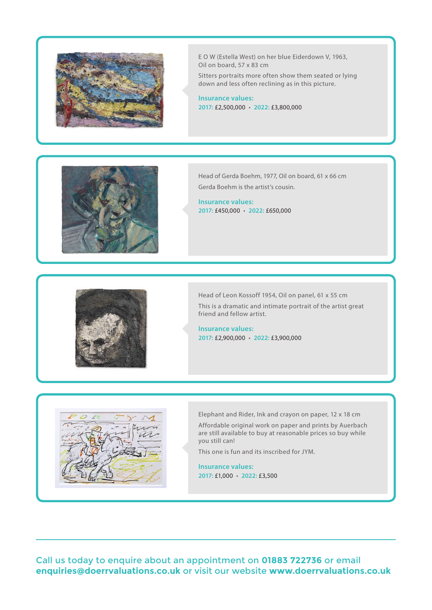

E O W (Estella West) on her blue Eiderdown V, 1963, Oil on board, 57 x 83 cm

Sitters portraits more often show them seated or lying down and less often reclining as in this picture.

**Insurance values: 2017:** £2,500,000 • **2022:** £3,800,000



Head of Gerda Boehm, 1977, Oil on board, 61 x 66 cm Gerda Boehm is the artist's cousin.

**Insurance values: 2017:** £450,000 • **2022:** £650,000



Head of Leon Kossoff 1954, Oil on panel, 61 x 55 cm This is a dramatic and intimate portrait of the artist great friend and fellow artist.

**Insurance values: 2017:** £2,900,000 • **2022:** £3,900,000



Elephant and Rider, Ink and crayon on paper, 12 x 18 cm

Affordable original work on paper and prints by Auerbach are still available to buy at reasonable prices so buy while you still can!

This one is fun and its inscribed for JYM.

**Insurance values: 2017:** £1,000 • **2022:** £3,500